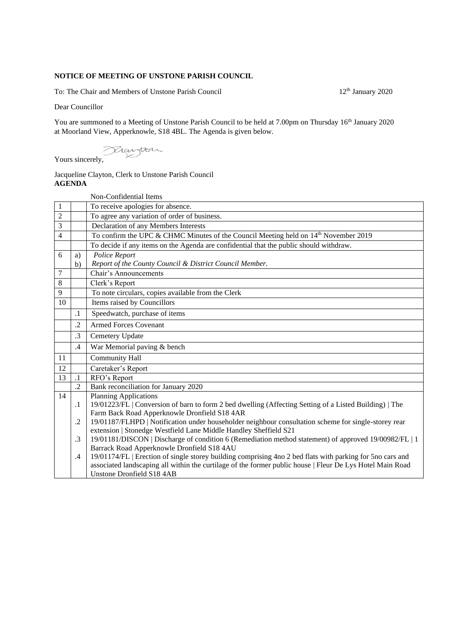## **NOTICE OF MEETING OF UNSTONE PARISH COUNCIL**

To: The Chair and Members of Unstone Parish Council 12<sup>th</sup> January 2020

Dear Councillor

You are summoned to a Meeting of Unstone Parish Council to be held at 7.00pm on Thursday 16<sup>th</sup> January 2020 at Moorland View, Apperknowle, S18 4BL. The Agenda is given below.

Yours sincerely,

## Jacqueline Clayton, Clerk to Unstone Parish Council **AGENDA**

|                |            | Non-Confidential Items                                                                                                                              |
|----------------|------------|-----------------------------------------------------------------------------------------------------------------------------------------------------|
| $\mathbf{1}$   |            | To receive apologies for absence.                                                                                                                   |
| $\overline{2}$ |            | To agree any variation of order of business.                                                                                                        |
| 3              |            | Declaration of any Members Interests                                                                                                                |
| $\overline{4}$ |            | To confirm the UPC & CHMC Minutes of the Council Meeting held on 14 <sup>th</sup> November 2019                                                     |
|                |            | To decide if any items on the Agenda are confidential that the public should withdraw.                                                              |
| 6              | a)         | Police Report                                                                                                                                       |
|                | b)         | Report of the County Council & District Council Member.                                                                                             |
| $\overline{7}$ |            | Chair's Announcements                                                                                                                               |
| $\,8\,$        |            | Clerk's Report                                                                                                                                      |
| 9              |            | To note circulars, copies available from the Clerk                                                                                                  |
| 10             |            | Items raised by Councillors                                                                                                                         |
|                | $\cdot$ 1  | Speedwatch, purchase of items                                                                                                                       |
|                | $\cdot$    | <b>Armed Forces Covenant</b>                                                                                                                        |
|                | $\cdot$ 3  | Cemetery Update                                                                                                                                     |
|                | .4         | War Memorial paving & bench                                                                                                                         |
| 11             |            | Community Hall                                                                                                                                      |
| 12             |            | Caretaker's Report                                                                                                                                  |
| 13             | $\cdot$ 1  | RFO's Report                                                                                                                                        |
|                | $\cdot$    | Bank reconciliation for January 2020                                                                                                                |
| 14             |            | <b>Planning Applications</b>                                                                                                                        |
|                | $\cdot$ 1  | 19/01223/FL   Conversion of barn to form 2 bed dwelling (Affecting Setting of a Listed Building)   The                                              |
|                |            | Farm Back Road Apperknowle Dronfield S18 4AR                                                                                                        |
|                | $\cdot$ .2 | 19/01187/FLHPD   Notification under householder neighbour consultation scheme for single-storey rear                                                |
|                | $\cdot$ 3  | extension   Stonedge Westfield Lane Middle Handley Sheffield S21                                                                                    |
|                |            | 19/01181/DISCON   Discharge of condition 6 (Remediation method statement) of approved 19/00982/FL   1<br>Barrack Road Apperknowle Dronfield S18 4AU |
|                | $.4\,$     | 19/01174/FL   Erection of single storey building comprising 4no 2 bed flats with parking for 5no cars and                                           |
|                |            | associated landscaping all within the curtilage of the former public house   Fleur De Lys Hotel Main Road                                           |
|                |            | <b>Unstone Dronfield S18 4AB</b>                                                                                                                    |